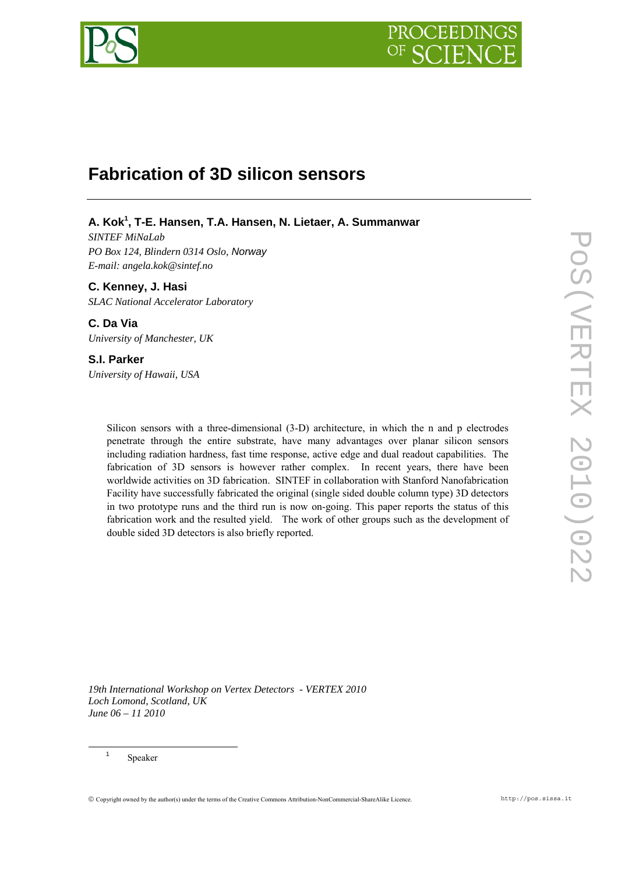

# **Fabrication of 3D silicon sensors**

# **A. Kok<sup>1</sup> , T-E. Hansen, T.A. Hansen, N. Lietaer, A. Summanwar**

*SINTEF MiNaLab PO Box 124, Blindern 0314 Oslo, Norway E-mail: angela.kok@sintef.no* 

**C. Kenney, J. Hasi**  *SLAC National Accelerator Laboratory* 

**C. Da Via**  *University of Manchester, UK* 

# **S.I. Parker**

*University of Hawaii, USA* 

Silicon sensors with a three-dimensional (3-D) architecture, in which the n and p electrodes penetrate through the entire substrate, have many advantages over planar silicon sensors including radiation hardness, fast time response, active edge and dual readout capabilities. The fabrication of 3D sensors is however rather complex. In recent years, there have been worldwide activities on 3D fabrication. SINTEF in collaboration with Stanford Nanofabrication Facility have successfully fabricated the original (single sided double column type) 3D detectors in two prototype runs and the third run is now on-going. This paper reports the status of this fabrication work and the resulted yield. The work of other groups such as the development of double sided 3D detectors is also briefly reported.

*19th International Workshop on Vertex Detectors - VERTEX 2010 Loch Lomond, Scotland, UK June 06 – 11 2010*

Speaker

<sup>1</sup>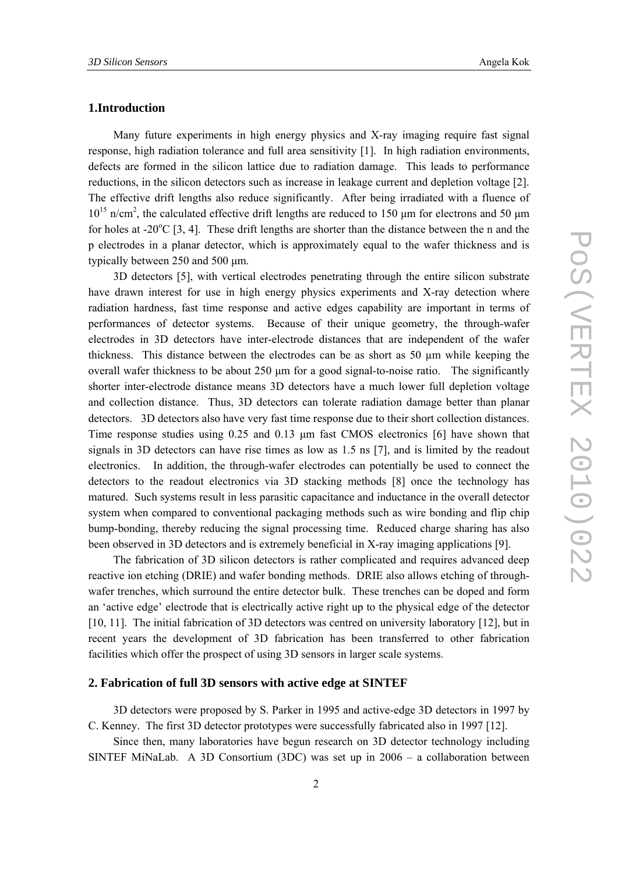## **1.Introduction**

Many future experiments in high energy physics and X-ray imaging require fast signal response, high radiation tolerance and full area sensitivity [1]. In high radiation environments, defects are formed in the silicon lattice due to radiation damage. This leads to performance reductions, in the silicon detectors such as increase in leakage current and depletion voltage [2]. The effective drift lengths also reduce significantly. After being irradiated with a fluence of  $10^{15}$  n/cm<sup>2</sup>, the calculated effective drift lengths are reduced to 150  $\mu$ m for electrons and 50  $\mu$ m for holes at -20 $^{\circ}$ C [3, 4]. These drift lengths are shorter than the distance between the n and the p electrodes in a planar detector, which is approximately equal to the wafer thickness and is typically between 250 and 500 μm.

3D detectors [5], with vertical electrodes penetrating through the entire silicon substrate have drawn interest for use in high energy physics experiments and X-ray detection where radiation hardness, fast time response and active edges capability are important in terms of performances of detector systems. Because of their unique geometry, the through-wafer electrodes in 3D detectors have inter-electrode distances that are independent of the wafer thickness. This distance between the electrodes can be as short as 50 µm while keeping the overall wafer thickness to be about 250  $\mu$ m for a good signal-to-noise ratio. The significantly shorter inter-electrode distance means 3D detectors have a much lower full depletion voltage and collection distance. Thus, 3D detectors can tolerate radiation damage better than planar detectors. 3D detectors also have very fast time response due to their short collection distances. Time response studies using 0.25 and 0.13  $\mu$ m fast CMOS electronics [6] have shown that signals in 3D detectors can have rise times as low as 1.5 ns [7], and is limited by the readout electronics. In addition, the through-wafer electrodes can potentially be used to connect the detectors to the readout electronics via 3D stacking methods [8] once the technology has matured. Such systems result in less parasitic capacitance and inductance in the overall detector system when compared to conventional packaging methods such as wire bonding and flip chip bump-bonding, thereby reducing the signal processing time. Reduced charge sharing has also been observed in 3D detectors and is extremely beneficial in X-ray imaging applications [9].

The fabrication of 3D silicon detectors is rather complicated and requires advanced deep reactive ion etching (DRIE) and wafer bonding methods. DRIE also allows etching of throughwafer trenches, which surround the entire detector bulk. These trenches can be doped and form an 'active edge' electrode that is electrically active right up to the physical edge of the detector [10, 11]. The initial fabrication of 3D detectors was centred on university laboratory [12], but in recent years the development of 3D fabrication has been transferred to other fabrication facilities which offer the prospect of using 3D sensors in larger scale systems.

#### **2. Fabrication of full 3D sensors with active edge at SINTEF**

3D detectors were proposed by S. Parker in 1995 and active-edge 3D detectors in 1997 by C. Kenney. The first 3D detector prototypes were successfully fabricated also in 1997 [12].

Since then, many laboratories have begun research on 3D detector technology including SINTEF MiNaLab. A 3D Consortium (3DC) was set up in 2006 – a collaboration between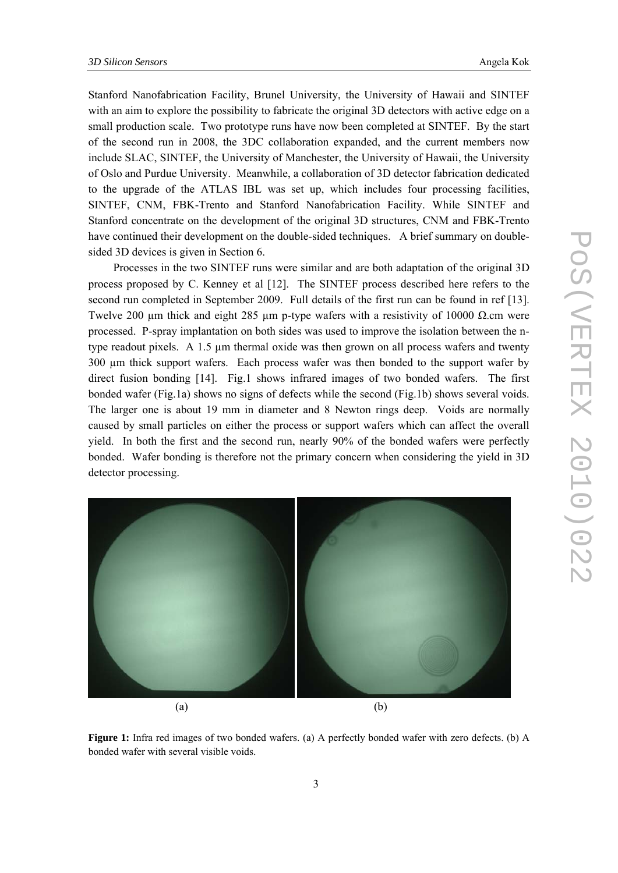Stanford Nanofabrication Facility, Brunel University, the University of Hawaii and SINTEF with an aim to explore the possibility to fabricate the original 3D detectors with active edge on a small production scale. Two prototype runs have now been completed at SINTEF. By the start of the second run in 2008, the 3DC collaboration expanded, and the current members now include SLAC, SINTEF, the University of Manchester, the University of Hawaii, the University of Oslo and Purdue University. Meanwhile, a collaboration of 3D detector fabrication dedicated to the upgrade of the ATLAS IBL was set up, which includes four processing facilities, SINTEF, CNM, FBK-Trento and Stanford Nanofabrication Facility. While SINTEF and Stanford concentrate on the development of the original 3D structures, CNM and FBK-Trento have continued their development on the double-sided techniques. A brief summary on doublesided 3D devices is given in Section 6.

Processes in the two SINTEF runs were similar and are both adaptation of the original 3D process proposed by C. Kenney et al [12]. The SINTEF process described here refers to the second run completed in September 2009. Full details of the first run can be found in ref [13]. Twelve 200 µm thick and eight 285 µm p-type wafers with a resistivity of 10000  $\Omega$ .cm were processed. P-spray implantation on both sides was used to improve the isolation between the ntype readout pixels. A 1.5 µm thermal oxide was then grown on all process wafers and twenty 300 µm thick support wafers. Each process wafer was then bonded to the support wafer by direct fusion bonding [14]. Fig.1 shows infrared images of two bonded wafers. The first bonded wafer (Fig.1a) shows no signs of defects while the second (Fig.1b) shows several voids. The larger one is about 19 mm in diameter and 8 Newton rings deep. Voids are normally caused by small particles on either the process or support wafers which can affect the overall yield. In both the first and the second run, nearly 90% of the bonded wafers were perfectly bonded. Wafer bonding is therefore not the primary concern when considering the yield in 3D detector processing.



**Figure 1:** Infra red images of two bonded wafers. (a) A perfectly bonded wafer with zero defects. (b) A bonded wafer with several visible voids.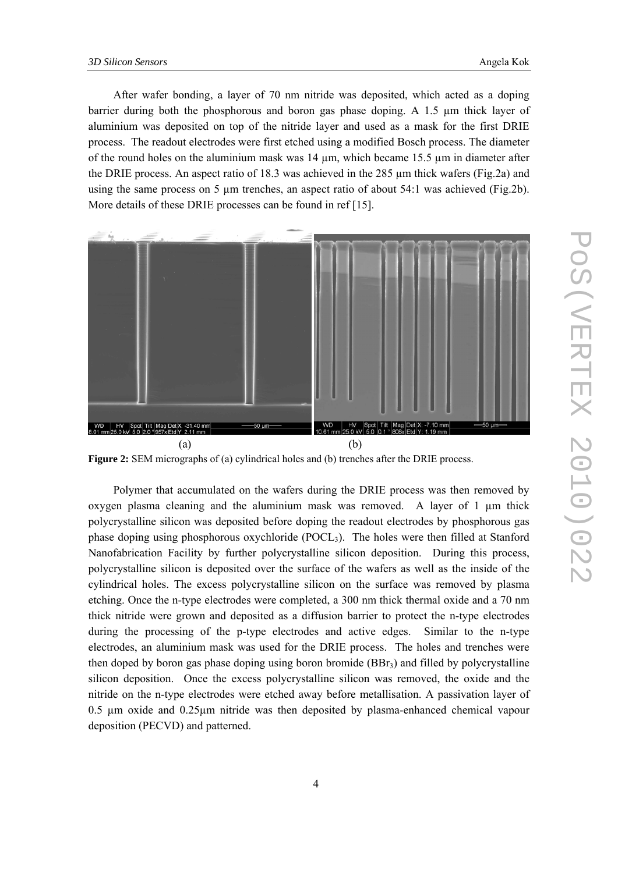After wafer bonding, a layer of 70 nm nitride was deposited, which acted as a doping barrier during both the phosphorous and boron gas phase doping. A 1.5 µm thick layer of aluminium was deposited on top of the nitride layer and used as a mask for the first DRIE process. The readout electrodes were first etched using a modified Bosch process. The diameter of the round holes on the aluminium mask was  $14 \mu m$ , which became 15.5  $\mu$ m in diameter after the DRIE process. An aspect ratio of 18.3 was achieved in the 285  $\mu$ m thick wafers (Fig.2a) and using the same process on 5  $\mu$ m trenches, an aspect ratio of about 54:1 was achieved (Fig.2b). More details of these DRIE processes can be found in ref [15].



**Figure 2:** SEM micrographs of (a) cylindrical holes and (b) trenches after the DRIE process.

Polymer that accumulated on the wafers during the DRIE process was then removed by oxygen plasma cleaning and the aluminium mask was removed. A layer of  $1 \text{ µm}$  thick polycrystalline silicon was deposited before doping the readout electrodes by phosphorous gas phase doping using phosphorous oxychloride (POCL3). The holes were then filled at Stanford Nanofabrication Facility by further polycrystalline silicon deposition. During this process, polycrystalline silicon is deposited over the surface of the wafers as well as the inside of the cylindrical holes. The excess polycrystalline silicon on the surface was removed by plasma etching. Once the n-type electrodes were completed, a 300 nm thick thermal oxide and a 70 nm thick nitride were grown and deposited as a diffusion barrier to protect the n-type electrodes during the processing of the p-type electrodes and active edges. Similar to the n-type electrodes, an aluminium mask was used for the DRIE process. The holes and trenches were then doped by boron gas phase doping using boron bromide (BBr3) and filled by polycrystalline silicon deposition. Once the excess polycrystalline silicon was removed, the oxide and the nitride on the n-type electrodes were etched away before metallisation. A passivation layer of 0.5 µm oxide and 0.25µm nitride was then deposited by plasma-enhanced chemical vapour deposition (PECVD) and patterned.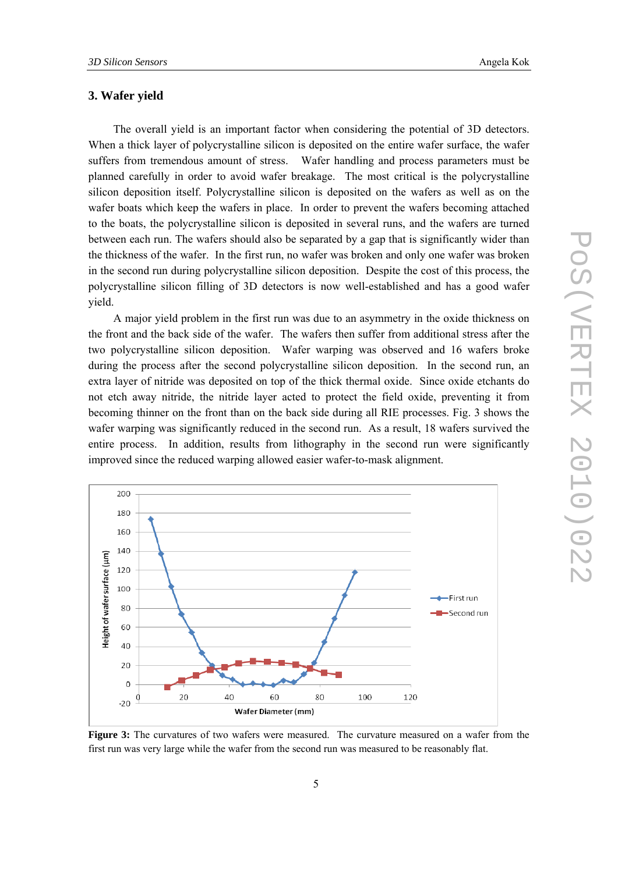## **3. Wafer yield**

The overall yield is an important factor when considering the potential of 3D detectors. When a thick layer of polycrystalline silicon is deposited on the entire wafer surface, the wafer suffers from tremendous amount of stress. Wafer handling and process parameters must be planned carefully in order to avoid wafer breakage. The most critical is the polycrystalline silicon deposition itself. Polycrystalline silicon is deposited on the wafers as well as on the wafer boats which keep the wafers in place. In order to prevent the wafers becoming attached to the boats, the polycrystalline silicon is deposited in several runs, and the wafers are turned between each run. The wafers should also be separated by a gap that is significantly wider than the thickness of the wafer. In the first run, no wafer was broken and only one wafer was broken in the second run during polycrystalline silicon deposition. Despite the cost of this process, the polycrystalline silicon filling of 3D detectors is now well-established and has a good wafer yield.

A major yield problem in the first run was due to an asymmetry in the oxide thickness on the front and the back side of the wafer. The wafers then suffer from additional stress after the two polycrystalline silicon deposition. Wafer warping was observed and 16 wafers broke during the process after the second polycrystalline silicon deposition. In the second run, an extra layer of nitride was deposited on top of the thick thermal oxide. Since oxide etchants do not etch away nitride, the nitride layer acted to protect the field oxide, preventing it from becoming thinner on the front than on the back side during all RIE processes. Fig. 3 shows the wafer warping was significantly reduced in the second run. As a result, 18 wafers survived the entire process. In addition, results from lithography in the second run were significantly improved since the reduced warping allowed easier wafer-to-mask alignment.



**Figure 3:** The curvatures of two wafers were measured. The curvature measured on a wafer from the first run was very large while the wafer from the second run was measured to be reasonably flat.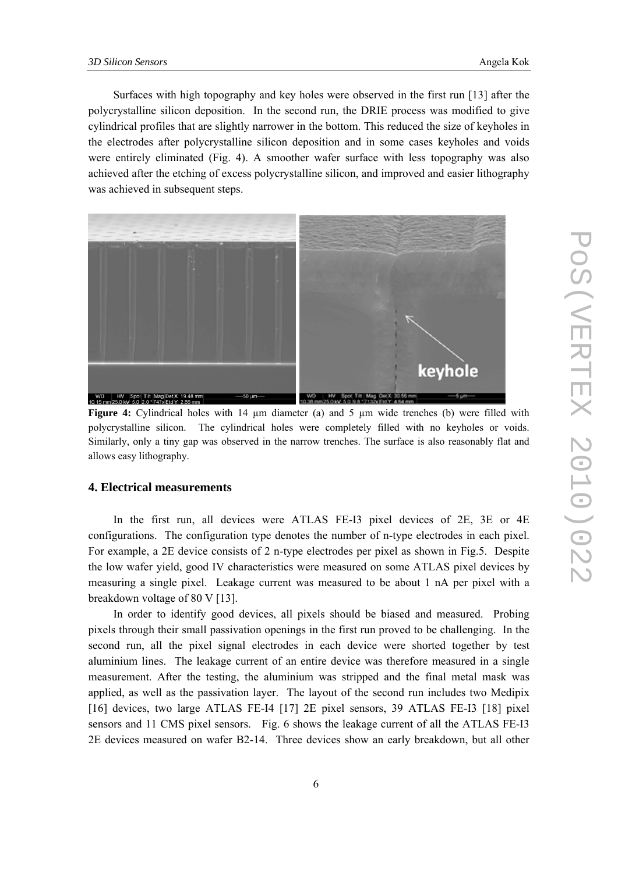Surfaces with high topography and key holes were observed in the first run [13] after the polycrystalline silicon deposition. In the second run, the DRIE process was modified to give cylindrical profiles that are slightly narrower in the bottom. This reduced the size of keyholes in the electrodes after polycrystalline silicon deposition and in some cases keyholes and voids were entirely eliminated (Fig. 4). A smoother wafer surface with less topography was also achieved after the etching of excess polycrystalline silicon, and improved and easier lithography was achieved in subsequent steps.



**Figure 4:** Cylindrical holes with 14  $\mu$ m diameter (a) and 5  $\mu$ m wide trenches (b) were filled with polycrystalline silicon. The cylindrical holes were completely filled with no keyholes or voids. Similarly, only a tiny gap was observed in the narrow trenches. The surface is also reasonably flat and allows easy lithography.

## **4. Electrical measurements**

In the first run, all devices were ATLAS FE-I3 pixel devices of 2E, 3E or 4E configurations. The configuration type denotes the number of n-type electrodes in each pixel. For example, a 2E device consists of 2 n-type electrodes per pixel as shown in Fig.5. Despite the low wafer yield, good IV characteristics were measured on some ATLAS pixel devices by measuring a single pixel. Leakage current was measured to be about 1 nA per pixel with a breakdown voltage of 80 V [13].

In order to identify good devices, all pixels should be biased and measured. Probing pixels through their small passivation openings in the first run proved to be challenging. In the second run, all the pixel signal electrodes in each device were shorted together by test aluminium lines. The leakage current of an entire device was therefore measured in a single measurement. After the testing, the aluminium was stripped and the final metal mask was applied, as well as the passivation layer. The layout of the second run includes two Medipix [16] devices, two large ATLAS FE-I4 [17] 2E pixel sensors, 39 ATLAS FE-I3 [18] pixel sensors and 11 CMS pixel sensors. Fig. 6 shows the leakage current of all the ATLAS FE-I3 2E devices measured on wafer B2-14. Three devices show an early breakdown, but all other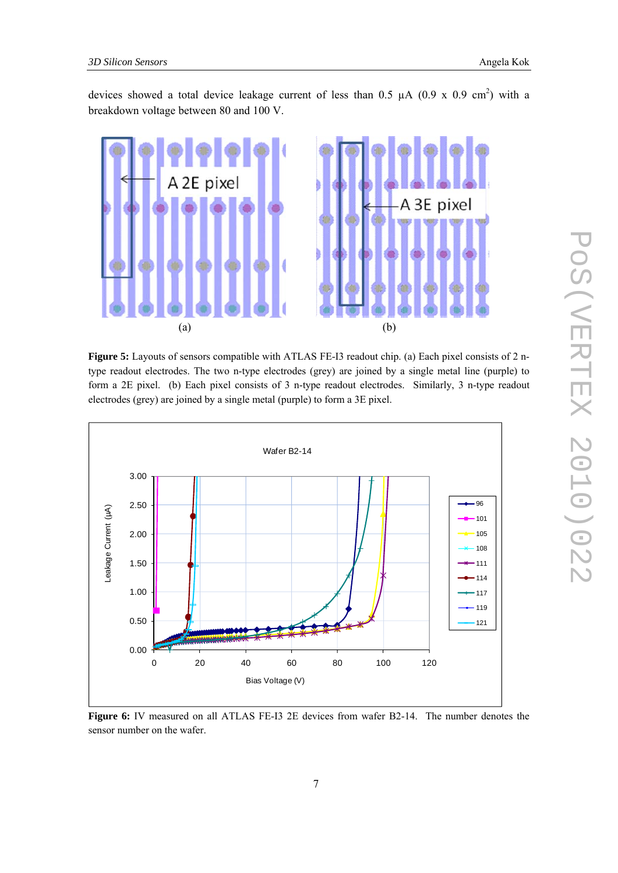devices showed a total device leakage current of less than 0.5  $\mu$ A (0.9 x 0.9 cm<sup>2</sup>) with a breakdown voltage between 80 and 100 V.



**Figure 5:** Layouts of sensors compatible with ATLAS FE-I3 readout chip. (a) Each pixel consists of 2 ntype readout electrodes. The two n-type electrodes (grey) are joined by a single metal line (purple) to form a 2E pixel. (b) Each pixel consists of 3 n-type readout electrodes. Similarly, 3 n-type readout electrodes (grey) are joined by a single metal (purple) to form a 3E pixel.



**Figure 6:** IV measured on all ATLAS FE-I3 2E devices from wafer B2-14. The number denotes the sensor number on the wafer.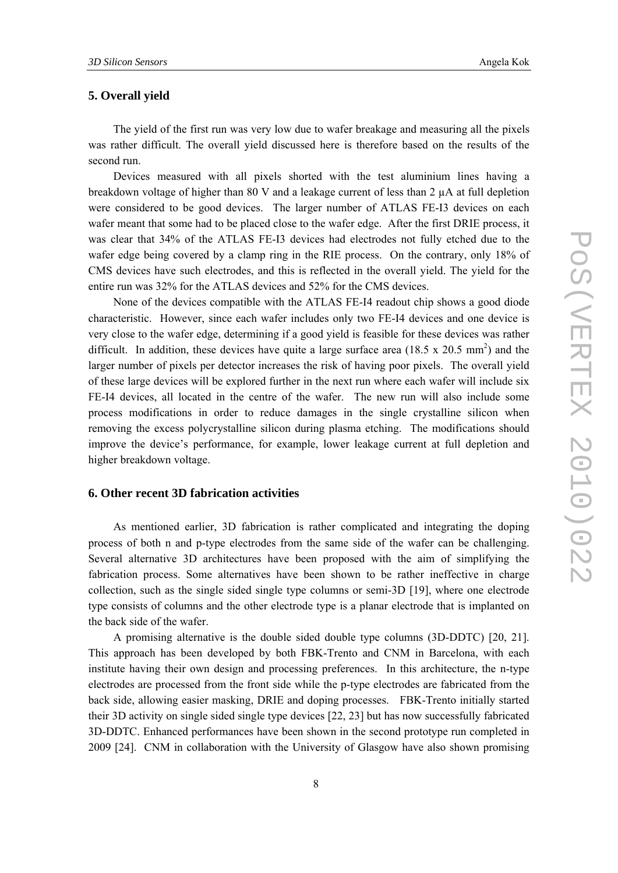## **5. Overall yield**

The yield of the first run was very low due to wafer breakage and measuring all the pixels was rather difficult. The overall yield discussed here is therefore based on the results of the second run.

Devices measured with all pixels shorted with the test aluminium lines having a breakdown voltage of higher than 80 V and a leakage current of less than  $2 \mu A$  at full depletion were considered to be good devices. The larger number of ATLAS FE-I3 devices on each wafer meant that some had to be placed close to the wafer edge. After the first DRIE process, it was clear that 34% of the ATLAS FE-I3 devices had electrodes not fully etched due to the wafer edge being covered by a clamp ring in the RIE process. On the contrary, only 18% of CMS devices have such electrodes, and this is reflected in the overall yield. The yield for the entire run was 32% for the ATLAS devices and 52% for the CMS devices.

None of the devices compatible with the ATLAS FE-I4 readout chip shows a good diode characteristic. However, since each wafer includes only two FE-I4 devices and one device is very close to the wafer edge, determining if a good yield is feasible for these devices was rather difficult. In addition, these devices have quite a large surface area  $(18.5 \times 20.5 \text{ mm}^2)$  and the larger number of pixels per detector increases the risk of having poor pixels. The overall yield of these large devices will be explored further in the next run where each wafer will include six FE-I4 devices, all located in the centre of the wafer. The new run will also include some process modifications in order to reduce damages in the single crystalline silicon when removing the excess polycrystalline silicon during plasma etching. The modifications should improve the device's performance, for example, lower leakage current at full depletion and higher breakdown voltage.

## **6. Other recent 3D fabrication activities**

As mentioned earlier, 3D fabrication is rather complicated and integrating the doping process of both n and p-type electrodes from the same side of the wafer can be challenging. Several alternative 3D architectures have been proposed with the aim of simplifying the fabrication process. Some alternatives have been shown to be rather ineffective in charge collection, such as the single sided single type columns or semi-3D [19], where one electrode type consists of columns and the other electrode type is a planar electrode that is implanted on the back side of the wafer.

A promising alternative is the double sided double type columns (3D-DDTC) [20, 21]. This approach has been developed by both FBK-Trento and CNM in Barcelona, with each institute having their own design and processing preferences. In this architecture, the n-type electrodes are processed from the front side while the p-type electrodes are fabricated from the back side, allowing easier masking, DRIE and doping processes. FBK-Trento initially started their 3D activity on single sided single type devices [22, 23] but has now successfully fabricated 3D-DDTC. Enhanced performances have been shown in the second prototype run completed in 2009 [24]. CNM in collaboration with the University of Glasgow have also shown promising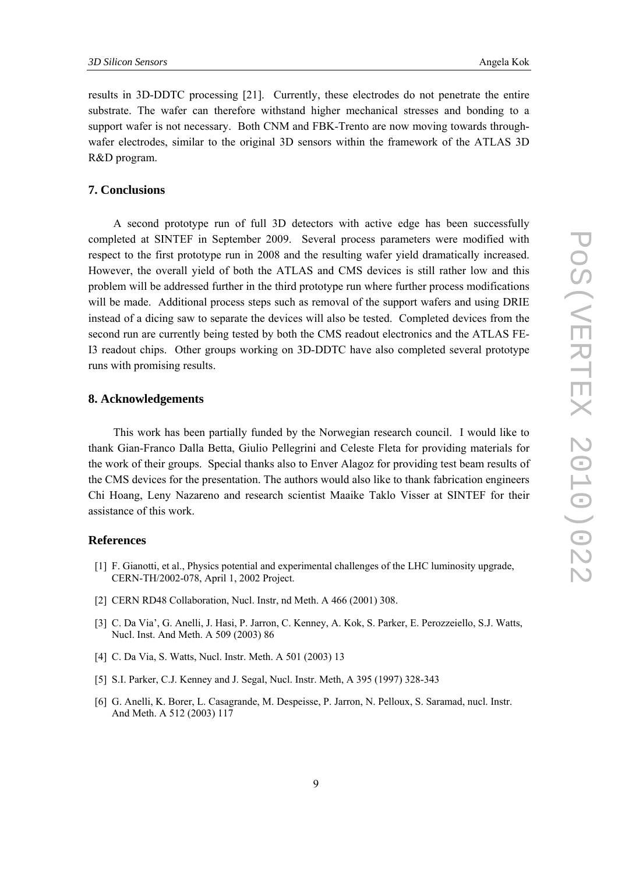results in 3D-DDTC processing [21]. Currently, these electrodes do not penetrate the entire substrate. The wafer can therefore withstand higher mechanical stresses and bonding to a support wafer is not necessary. Both CNM and FBK-Trento are now moving towards throughwafer electrodes, similar to the original 3D sensors within the framework of the ATLAS 3D R&D program.

#### **7. Conclusions**

A second prototype run of full 3D detectors with active edge has been successfully completed at SINTEF in September 2009. Several process parameters were modified with respect to the first prototype run in 2008 and the resulting wafer yield dramatically increased. However, the overall yield of both the ATLAS and CMS devices is still rather low and this problem will be addressed further in the third prototype run where further process modifications will be made. Additional process steps such as removal of the support wafers and using DRIE instead of a dicing saw to separate the devices will also be tested. Completed devices from the second run are currently being tested by both the CMS readout electronics and the ATLAS FE-I3 readout chips. Other groups working on 3D-DDTC have also completed several prototype runs with promising results.

#### **8. Acknowledgements**

This work has been partially funded by the Norwegian research council. I would like to thank Gian-Franco Dalla Betta, Giulio Pellegrini and Celeste Fleta for providing materials for the work of their groups. Special thanks also to Enver Alagoz for providing test beam results of the CMS devices for the presentation. The authors would also like to thank fabrication engineers Chi Hoang, Leny Nazareno and research scientist Maaike Taklo Visser at SINTEF for their assistance of this work.

#### **References**

- [1] F. Gianotti, et al., Physics potential and experimental challenges of the LHC luminosity upgrade, CERN-TH/2002-078, April 1, 2002 Project.
- [2] CERN RD48 Collaboration, Nucl. Instr, nd Meth. A 466 (2001) 308.
- [3] C. Da Via', G. Anelli, J. Hasi, P. Jarron, C. Kenney, A. Kok, S. Parker, E. Perozzeiello, S.J. Watts, Nucl. Inst. And Meth. A 509 (2003) 86
- [4] C. Da Via, S. Watts, Nucl. Instr. Meth. A 501 (2003) 13
- [5] S.I. Parker, C.J. Kenney and J. Segal, Nucl. Instr. Meth, A 395 (1997) 328-343
- [6] G. Anelli, K. Borer, L. Casagrande, M. Despeisse, P. Jarron, N. Pelloux, S. Saramad, nucl. Instr. And Meth. A 512 (2003) 117